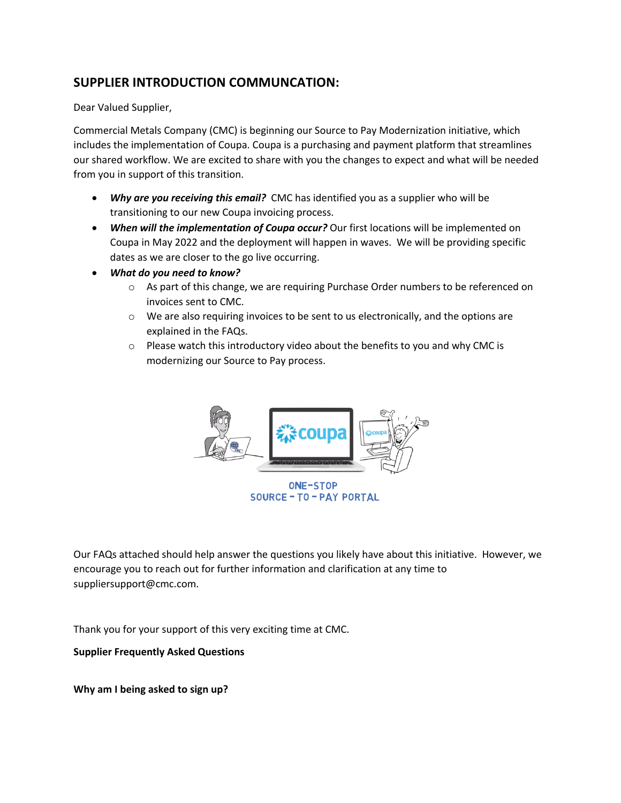# **SUPPLIER INTRODUCTION COMMUNCATION:**

Dear Valued Supplier,

Commercial Metals Company (CMC) is beginning our Source to Pay Modernization initiative, which includes the implementation of Coupa. Coupa is a purchasing and payment platform that streamlines our shared workflow. We are excited to share with you the changes to expect and what will be needed from you in support of this transition.

- *Why are you receiving this email?* CMC has identified you as a supplier who will be transitioning to our new Coupa invoicing process.
- *When will the implementation of Coupa occur?* Our first locations will be implemented on Coupa in May 2022 and the deployment will happen in waves. We will be providing specific dates as we are closer to the go live occurring.
- *What do you need to know?*
	- o As part of this change, we are requiring Purchase Order numbers to be referenced on invoices sent to CMC.
	- o We are also requiring invoices to be sent to us electronically, and the options are explained in the FAQs.
	- o Please watch this introductory video about the benefits to you and why CMC is modernizing our Source to Pay process.



Our FAQs attached should help answer the questions you likely have about this initiative. However, we encourage you to reach out for further information and clarification at any time to suppliersupport@cmc.com.

Thank you for your support of this very exciting time at CMC.

**Supplier Frequently Asked Questions**

**Why am I being asked to sign up?**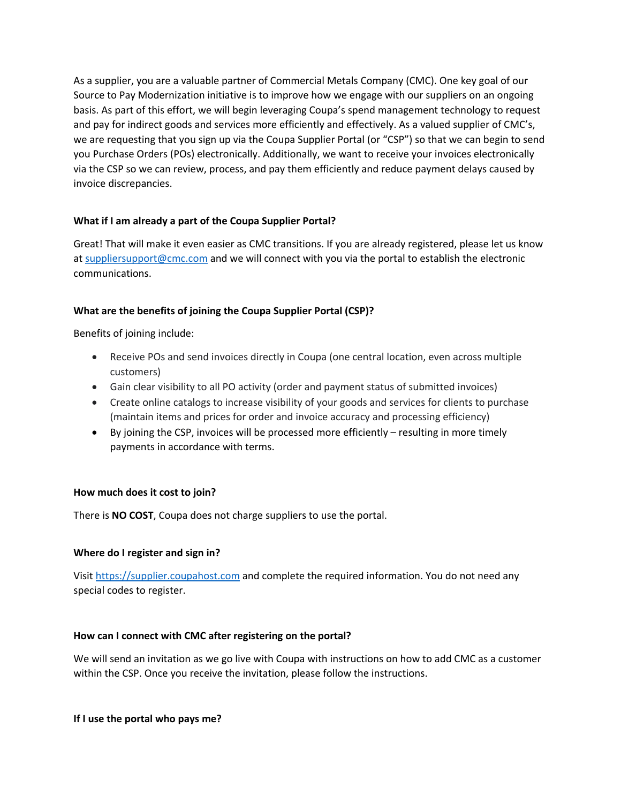As a supplier, you are a valuable partner of Commercial Metals Company (CMC). One key goal of our Source to Pay Modernization initiative is to improve how we engage with our suppliers on an ongoing basis. As part of this effort, we will begin leveraging Coupa's spend management technology to request and pay for indirect goods and services more efficiently and effectively. As a valued supplier of CMC's, we are requesting that you sign up via the Coupa Supplier Portal (or "CSP") so that we can begin to send you Purchase Orders (POs) electronically. Additionally, we want to receive your invoices electronically via the CSP so we can review, process, and pay them efficiently and reduce payment delays caused by invoice discrepancies.

# **What if I am already a part of the Coupa Supplier Portal?**

Great! That will make it even easier as CMC transitions. If you are already registered, please let us know at suppliersupport@cmc.com and we will connect with you via the portal to establish the electronic communications.

# **What are the benefits of joining the Coupa Supplier Portal (CSP)?**

Benefits of joining include:

- Receive POs and send invoices directly in Coupa (one central location, even across multiple customers)
- Gain clear visibility to all PO activity (order and payment status of submitted invoices)
- Create online catalogs to increase visibility of your goods and services for clients to purchase (maintain items and prices for order and invoice accuracy and processing efficiency)
- By joining the CSP, invoices will be processed more efficiently resulting in more timely payments in accordance with terms.

### **How much does it cost to join?**

There is **NO COST**, Coupa does not charge suppliers to use the portal.

### **Where do I register and sign in?**

Visit https://supplier.coupahost.com and complete the required information. You do not need any special codes to register.

### **How can I connect with CMC after registering on the portal?**

We will send an invitation as we go live with Coupa with instructions on how to add CMC as a customer within the CSP. Once you receive the invitation, please follow the instructions.

### **If I use the portal who pays me?**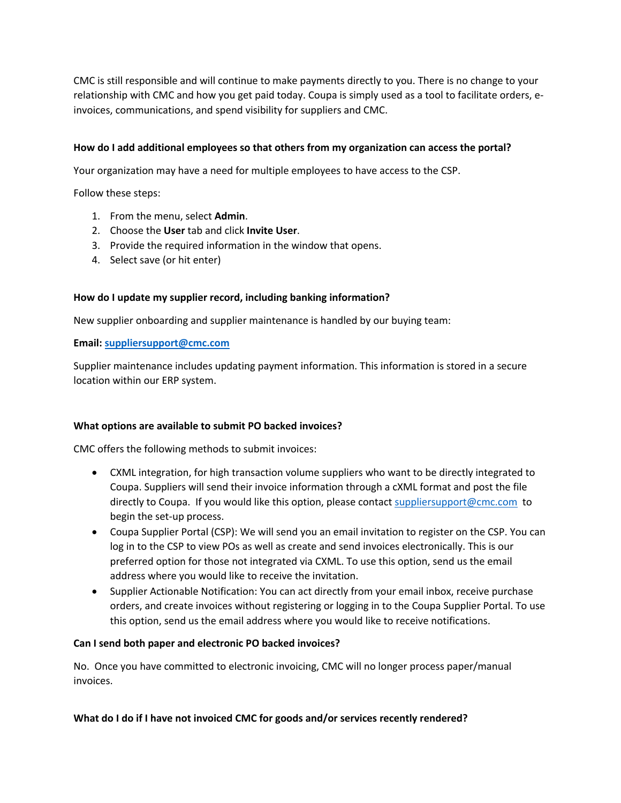CMC is still responsible and will continue to make payments directly to you. There is no change to your relationship with CMC and how you get paid today. Coupa is simply used as a tool to facilitate orders, einvoices, communications, and spend visibility for suppliers and CMC.

### **How do I add additional employees so that others from my organization can access the portal?**

Your organization may have a need for multiple employees to have access to the CSP.

Follow these steps:

- 1. From the menu, select **Admin**.
- 2. Choose the **User** tab and click **Invite User**.
- 3. Provide the required information in the window that opens.
- 4. Select save (or hit enter)

### **How do I update my supplier record, including banking information?**

New supplier onboarding and supplier maintenance is handled by our buying team:

#### **Email: suppliersupport@cmc.com**

Supplier maintenance includes updating payment information. This information is stored in a secure location within our ERP system.

### **What options are available to submit PO backed invoices?**

CMC offers the following methods to submit invoices:

- CXML integration, for high transaction volume suppliers who want to be directly integrated to Coupa. Suppliers will send their invoice information through a cXML format and post the file directly to Coupa. If you would like this option, please contact suppliersupport@cmc.com to begin the set-up process.
- Coupa Supplier Portal (CSP): We will send you an email invitation to register on the CSP. You can log in to the CSP to view POs as well as create and send invoices electronically. This is our preferred option for those not integrated via CXML. To use this option, send us the email address where you would like to receive the invitation.
- Supplier Actionable Notification: You can act directly from your email inbox, receive purchase orders, and create invoices without registering or logging in to the Coupa Supplier Portal. To use this option, send us the email address where you would like to receive notifications.

### **Can I send both paper and electronic PO backed invoices?**

No. Once you have committed to electronic invoicing, CMC will no longer process paper/manual invoices.

### **What do I do if I have not invoiced CMC for goods and/or services recently rendered?**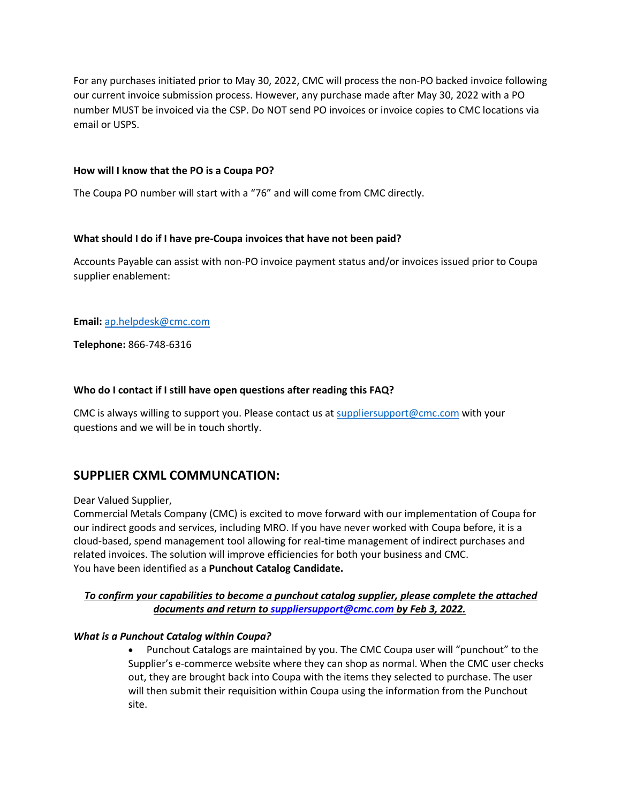For any purchases initiated prior to May 30, 2022, CMC will process the non-PO backed invoice following our current invoice submission process. However, any purchase made after May 30, 2022 with a PO number MUST be invoiced via the CSP. Do NOT send PO invoices or invoice copies to CMC locations via email or USPS.

#### **How will I know that the PO is a Coupa PO?**

The Coupa PO number will start with a "76" and will come from CMC directly.

#### **What should I do if I have pre-Coupa invoices that have not been paid?**

Accounts Payable can assist with non-PO invoice payment status and/or invoices issued prior to Coupa supplier enablement:

#### **Email:** ap.helpdesk@cmc.com

**Telephone:** 866-748-6316

#### **Who do I contact if I still have open questions after reading this FAQ?**

CMC is always willing to support you. Please contact us at suppliersupport@cmc.com with your questions and we will be in touch shortly.

# **SUPPLIER CXML COMMUNCATION:**

Dear Valued Supplier,

Commercial Metals Company (CMC) is excited to move forward with our implementation of Coupa for our indirect goods and services, including MRO. If you have never worked with Coupa before, it is a cloud-based, spend management tool allowing for real-time management of indirect purchases and related invoices. The solution will improve efficiencies for both your business and CMC. You have been identified as a **Punchout Catalog Candidate.**

# *To confirm your capabilities to become a punchout catalog supplier, please complete the attached documents and return to suppliersupport@cmc.com by Feb 3, 2022.*

### *What is a Punchout Catalog within Coupa?*

• Punchout Catalogs are maintained by you. The CMC Coupa user will "punchout" to the Supplier's e-commerce website where they can shop as normal. When the CMC user checks out, they are brought back into Coupa with the items they selected to purchase. The user will then submit their requisition within Coupa using the information from the Punchout site.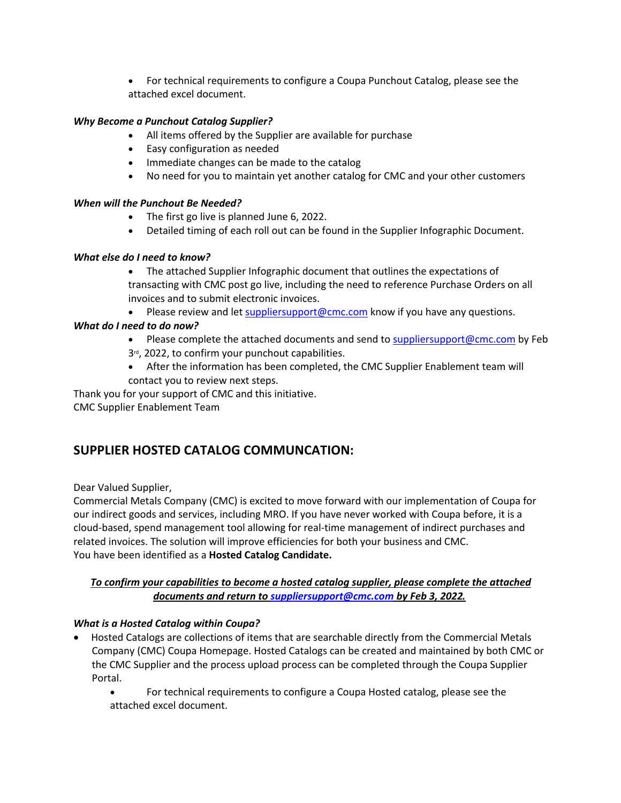• For technical requirements to configure a Coupa Punchout Catalog, please see the attached excel document.

# *Why Become a Punchout Catalog Supplier?*

- All items offered by the Supplier are available for purchase
- Easy configuration as needed
- Immediate changes can be made to the catalog
- No need for you to maintain yet another catalog for CMC and your other customers

# *When will the Punchout Be Needed?*

- The first go live is planned June 6, 2022.
- Detailed timing of each roll out can be found in the Supplier Infographic Document.

# *What else do I need to know?*

- The attached Supplier Infographic document that outlines the expectations of transacting with CMC post go live, including the need to reference Purchase Orders on all invoices and to submit electronic invoices.
- Please review and let suppliersupport@cmc.com know if you have any questions.

# *What do I need to do now?*

- Please complete the attached documents and send to suppliersupport@cmc.com by Feb
- 3<sup>rd</sup>, 2022, to confirm your punchout capabilities.
- After the information has been completed, the CMC Supplier Enablement team will contact you to review next steps.

Thank you for your support of CMC and this initiative.

CMC Supplier Enablement Team

# **SUPPLIER HOSTED CATALOG COMMUNCATION:**

Dear Valued Supplier,

Commercial Metals Company (CMC) is excited to move forward with our implementation of Coupa for our indirect goods and services, including MRO. If you have never worked with Coupa before, it is a cloud-based, spend management tool allowing for real-time management of indirect purchases and related invoices. The solution will improve efficiencies for both your business and CMC. You have been identified as a **Hosted Catalog Candidate.**

# *To confirm your capabilities to become a hosted catalog supplier, please complete the attached documents and return to suppliersupport@cmc.com by Feb 3, 2022.*

# *What is a Hosted Catalog within Coupa?*

- Hosted Catalogs are collections of items that are searchable directly from the Commercial Metals Company (CMC) Coupa Homepage. Hosted Catalogs can be created and maintained by both CMC or the CMC Supplier and the process upload process can be completed through the Coupa Supplier Portal.
	- For technical requirements to configure a Coupa Hosted catalog, please see the attached excel document.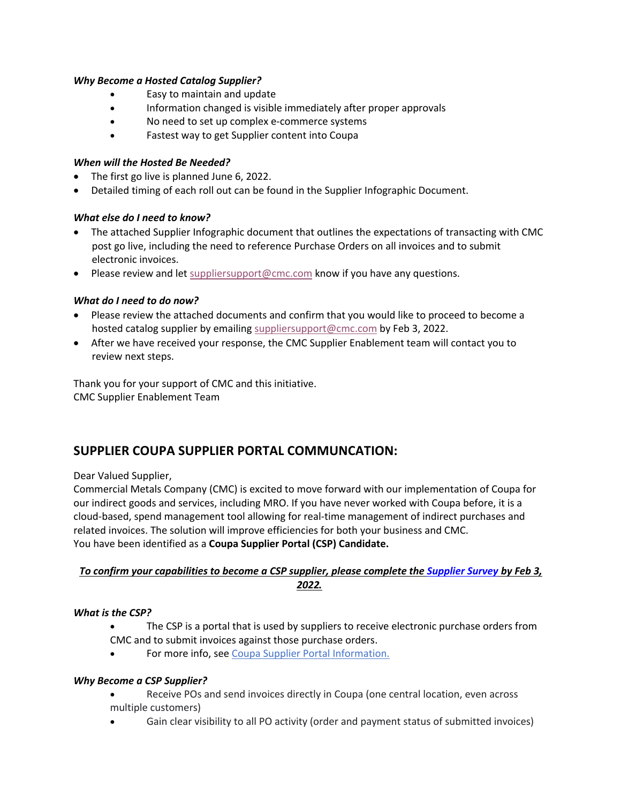# *Why Become a Hosted Catalog Supplier?*

- Easy to maintain and update
- Information changed is visible immediately after proper approvals
- No need to set up complex e-commerce systems
- Fastest way to get Supplier content into Coupa

# *When will the Hosted Be Needed?*

- The first go live is planned June 6, 2022.
- Detailed timing of each roll out can be found in the Supplier Infographic Document.

# *What else do I need to know?*

- The attached Supplier Infographic document that outlines the expectations of transacting with CMC post go live, including the need to reference Purchase Orders on all invoices and to submit electronic invoices.
- Please review and let suppliersupport@cmc.com know if you have any questions.

# *What do I need to do now?*

- Please review the attached documents and confirm that you would like to proceed to become a hosted catalog supplier by emailing suppliersupport@cmc.com by Feb 3, 2022.
- After we have received your response, the CMC Supplier Enablement team will contact you to review next steps.

Thank you for your support of CMC and this initiative. CMC Supplier Enablement Team

# **SUPPLIER COUPA SUPPLIER PORTAL COMMUNCATION:**

Dear Valued Supplier,

Commercial Metals Company (CMC) is excited to move forward with our implementation of Coupa for our indirect goods and services, including MRO. If you have never worked with Coupa before, it is a cloud-based, spend management tool allowing for real-time management of indirect purchases and related invoices. The solution will improve efficiencies for both your business and CMC.  You have been identified as a **Coupa Supplier Portal (CSP) Candidate.**

# *To confirm your capabilities to become a CSP supplier, please complete the Supplier Survey by Feb 3, 2022.*

### *What is the CSP?*

- The CSP is a portal that is used by suppliers to receive electronic purchase orders from CMC and to submit invoices against those purchase orders.
- For more info, see Coupa Supplier Portal Information.

# *Why Become a CSP Supplier?*

- Receive POs and send invoices directly in Coupa (one central location, even across multiple customers)
- Gain clear visibility to all PO activity (order and payment status of submitted invoices)